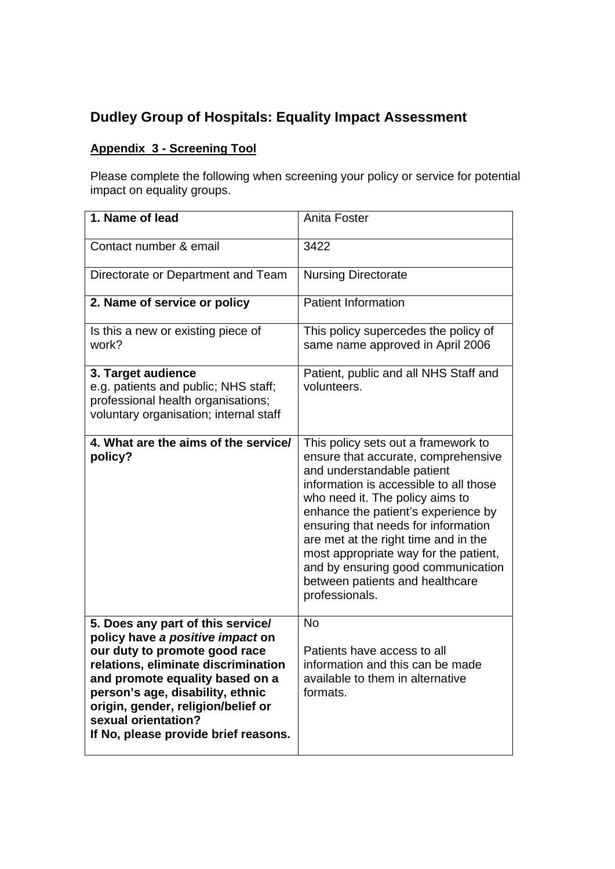## **Dudley Group of Hospitals: Equality Impact Assessment**

## **Appendix 3 - Screening Tool**

Please complete the following when screening your policy or service for potential impact on equality groups.

| 1. Name of lead                                                                                                                                                                                                                                                                                                           | Anita Foster                                                                                                                                                                                                                                                                                                                                                                                                                                    |
|---------------------------------------------------------------------------------------------------------------------------------------------------------------------------------------------------------------------------------------------------------------------------------------------------------------------------|-------------------------------------------------------------------------------------------------------------------------------------------------------------------------------------------------------------------------------------------------------------------------------------------------------------------------------------------------------------------------------------------------------------------------------------------------|
| Contact number & email                                                                                                                                                                                                                                                                                                    | 3422                                                                                                                                                                                                                                                                                                                                                                                                                                            |
| Directorate or Department and Team                                                                                                                                                                                                                                                                                        | <b>Nursing Directorate</b>                                                                                                                                                                                                                                                                                                                                                                                                                      |
| 2. Name of service or policy                                                                                                                                                                                                                                                                                              | <b>Patient Information</b>                                                                                                                                                                                                                                                                                                                                                                                                                      |
| Is this a new or existing piece of<br>work?                                                                                                                                                                                                                                                                               | This policy supercedes the policy of<br>same name approved in April 2006                                                                                                                                                                                                                                                                                                                                                                        |
| 3. Target audience<br>e.g. patients and public; NHS staff;<br>professional health organisations;<br>voluntary organisation; internal staff                                                                                                                                                                                | Patient, public and all NHS Staff and<br>volunteers.                                                                                                                                                                                                                                                                                                                                                                                            |
| 4. What are the aims of the service/<br>policy?                                                                                                                                                                                                                                                                           | This policy sets out a framework to<br>ensure that accurate, comprehensive<br>and understandable patient<br>information is accessible to all those<br>who need it. The policy aims to<br>enhance the patient's experience by<br>ensuring that needs for information<br>are met at the right time and in the<br>most appropriate way for the patient,<br>and by ensuring good communication<br>between patients and healthcare<br>professionals. |
| 5. Does any part of this service/<br>policy have a positive impact on<br>our duty to promote good race<br>relations, eliminate discrimination<br>and promote equality based on a<br>person's age, disability, ethnic<br>origin, gender, religion/belief or<br>sexual orientation?<br>If No, please provide brief reasons. | <b>No</b><br>Patients have access to all<br>information and this can be made<br>available to them in alternative<br>formats.                                                                                                                                                                                                                                                                                                                    |